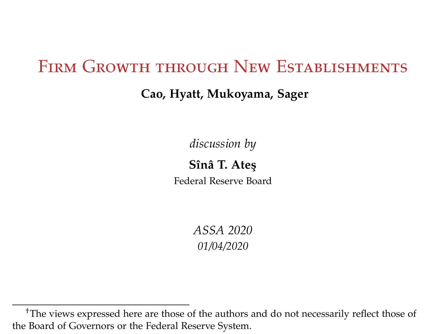## FIRM GROWTH THROUGH NEW ESTABLISHMENTS

### **Cao, Hyatt, Mukoyama, Sager**

*discussion by*

**Sînâ T. Ate¸s** Federal Reserve Board

> *ASSA 2020 01/04/2020*

<sup>†</sup>The views expressed here are those of the authors and do not necessarily reflect those of the Board of Governors or the Federal Reserve System.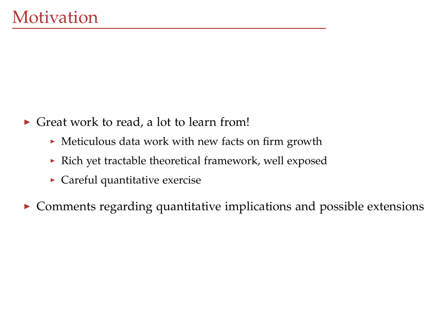- $\triangleright$  Great work to read, a lot to learn from!
	- $\blacktriangleright$  Meticulous data work with new facts on firm growth
	- $\triangleright$  Rich yet tractable theoretical framework, well exposed
	- $\blacktriangleright$  Careful quantitative exercise
- $\triangleright$  Comments regarding quantitative implications and possible extensions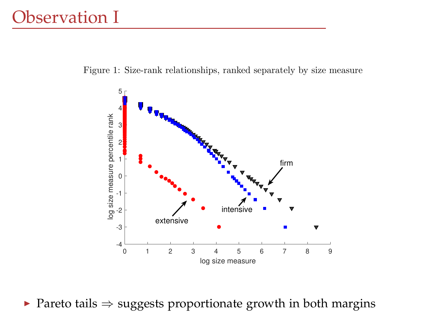Figure 1: Size-rank relationships, ranked separately by size measure



▶ Pareto tails  $\Rightarrow$  suggests proportionate growth in both margins  $\sim$  2005, rounded to the nearest integer. See the nearest integer. See the nearest integer. See the nearest integer. See the nearest integer. See the nearest integer. See the nearest integer. See the nearest integer. See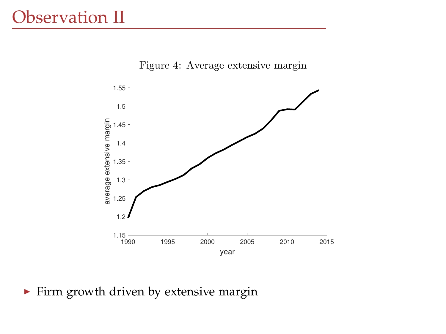#### Observation II  $\overline{\phantom{a}}$



Figure 4: Average extensive margin

 $\blacktriangleright$  Firm growth driven by extensive margin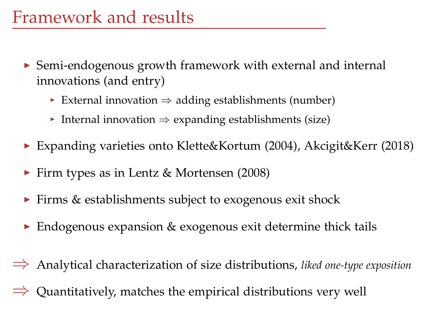- $\triangleright$  Semi-endogenous growth framework with external and internal innovations (and entry)
	- $\triangleright$  External innovation  $\Rightarrow$  adding establishments (number)
	- $\triangleright$  Internal innovation  $\Rightarrow$  expanding establishments (size)
- ▶ Expanding varieties onto Klette&Kortum (2004), Akcigit&Kerr (2018)
- $\blacktriangleright$  Firm types as in Lentz & Mortensen (2008)
- $\triangleright$  Firms & establishments subject to exogenous exit shock
- $\triangleright$  Endogenous expansion & exogenous exit determine thick tails
- ⇒ Analytical characterization of size distributions, *liked one-type exposition*  $\Rightarrow$  Quantitatively, matches the empirical distributions very well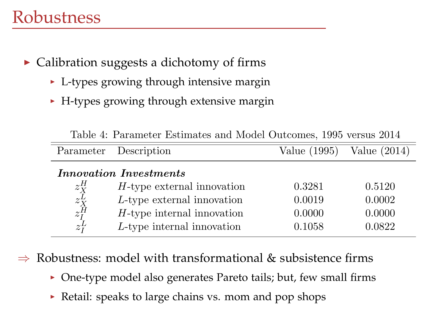## Robustness

- $\triangleright$  Calibration suggests a dichotomy of firms
	- $\triangleright$  L-types growing through intensive margin
	- $\blacktriangleright$  H-types growing through extensive margin

|                                                        | Parameter Description         | Value (1995) | Value $(2014)$ |
|--------------------------------------------------------|-------------------------------|--------------|----------------|
| Innovation Investments                                 |                               |              |                |
|                                                        | $H$ -type external innovation | 0.3281       | 0.5120         |
| $\begin{array}{c} z_K^H \\ z_K^L \\ z_I^H \end{array}$ | L-type external innovation    | 0.0019       | 0.0002         |
|                                                        | $H$ -type internal innovation | 0.0000       | 0.0000         |
| $z_I^L$                                                | L-type internal innovation    | 0.1058       | 0.0822         |

Table 4: Parameter Estimates and Model Outcomes, 1995 versus 2014

Innovation Costs  $\Rightarrow$  Robustness: model with transformational & subsistence firms

- ▶ One-type model also generates Pareto tails; but, few small firms
- $\frac{1}{1}$ <br>tail: speaks to large chains vs. mom and pop shops  $\blacktriangleright$  Retail: speaks to large chains vs. mom and pop shops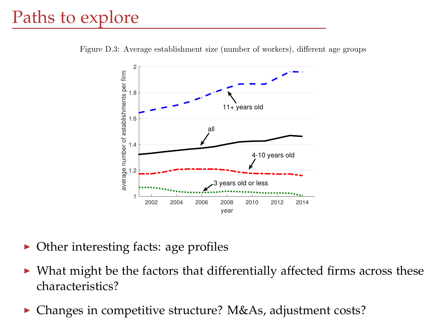# Paths to explore

Figure D.3: Average establishment size (number of workers), different age groups



- $\blacktriangleright$  Other interesting facts: age profiles
- increase in the firm size occurs during 1990s, Figure D.1 does not exhibit any obvious trend over  $\blacktriangleright$  What might be the factors that differentially affected firms across these characteristics?
- ▶ Changes in competitive structure? M&As, adjustment costs?